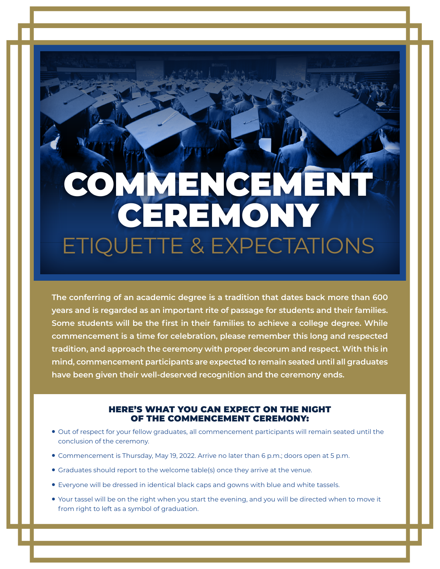## COMMENCEMENT CEREMONY ETIQUETTE & EXPECTATIONS

**The conferring of an academic degree is a tradition that dates back more than 600 years and is regarded as an important rite of passage for students and their families. Some students will be the first in their families to achieve a college degree. While commencement is a time for celebration, please remember this long and respected tradition, and approach the ceremony with proper decorum and respect. With this in mind, commencement participants are expected to remain seated until all graduates have been given their well-deserved recognition and the ceremony ends.**

## HERE'S WHAT YOU CAN EXPECT ON THE NIGHT OF THE COMMENCEMENT CEREMONY:

- Out of respect for your fellow graduates, all commencement participants will remain seated until the conclusion of the ceremony.
- Commencement is Thursday, May 19, 2022. Arrive no later than 6 p.m.; doors open at 5 p.m.
- Graduates should report to the welcome table(s) once they arrive at the venue.
- Everyone will be dressed in identical black caps and gowns with blue and white tassels.
- Your tassel will be on the right when you start the evening, and you will be directed when to move it from right to left as a symbol of graduation.